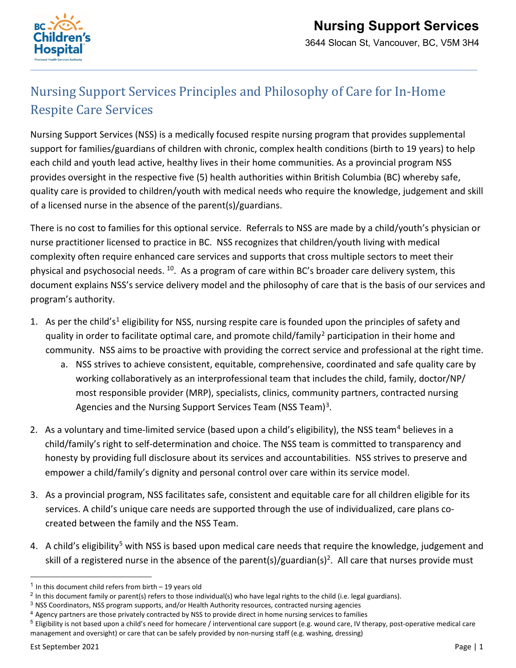

## Nursing Support Services Principles and Philosophy of Care for In-Home Respite Care Services

Nursing Support Services (NSS) is a medically focused respite nursing program that provides supplemental support for families/guardians of children with chronic, complex health conditions (birth to 19 years) to help each child and youth lead active, healthy lives in their home communities. As a provincial program NSS provides oversight in the respective five (5) health authorities within British Columbia (BC) whereby safe, quality care is provided to children/youth with medical needs who require the knowledge, judgement and skill of a licensed nurse in the absence of the parent(s)/guardians.

There is no cost to families for this optional service. Referrals to NSS are made by a child/youth's physician or nurse practitioner licensed to practice in BC. NSS recognizes that children/youth living with medical complexity often require enhanced care services and supports that cross multiple sectors to meet their physical and psychosocial needs. 10. As a program of care within BC's broader care delivery system, this document explains NSS's service delivery model and the philosophy of care that is the basis of our services and program's authority.

- [1](#page-0-0). As per the child's<sup>1</sup> eligibility for NSS, nursing respite care is founded upon the principles of safety and quality in order to facilitate optimal care, and promote child/family<sup>2</sup> participation in their home and community. NSS aims to be proactive with providing the correct service and professional at the right time.
	- a. NSS strives to achieve consistent, equitable, comprehensive, coordinated and safe quality care by working collaboratively as an interprofessional team that includes the child, family, doctor/NP/ most responsible provider (MRP), specialists, clinics, community partners, contracted nursing Agencies and the Nursing Support Services Team (NSS Team)<sup>3</sup>.
- 2. As a voluntary and time-limited service (based upon a child's eligibility), the NSS team<sup>[4](#page-0-3)</sup> believes in a child/family's right to self-determination and choice. The NSS team is committed to transparency and honesty by providing full disclosure about its services and accountabilities. NSS strives to preserve and empower a child/family's dignity and personal control over care within its service model.
- 3. As a provincial program, NSS facilitates safe, consistent and equitable care for all children eligible for its services. A child's unique care needs are supported through the use of individualized, care plans cocreated between the family and the NSS Team.
- 4. A child's eligibility<sup>[5](#page-0-4)</sup> with NSS is based upon medical care needs that require the knowledge, judgement and skill of a registered nurse in the absence of the parent(s)/guardian(s)<sup>2</sup>. All care that nurses provide must

<span id="page-0-0"></span><sup>&</sup>lt;sup>1</sup> In this document child refers from birth  $-$  19 years old

<span id="page-0-1"></span> $2$  In this document family or parent(s) refers to those individual(s) who have legal rights to the child (i.e. legal guardians).

<span id="page-0-2"></span><sup>3</sup> NSS Coordinators, NSS program supports, and/or Health Authority resources, contracted nursing agencies

<span id="page-0-3"></span><sup>4</sup> Agency partners are those privately contracted by NSS to provide direct in home nursing services to families

<span id="page-0-4"></span> $5$  Eligibility is not based upon a child's need for homecare / interventional care support (e.g. wound care, IV therapy, post-operative medical care management and oversight) or care that can be safely provided by non-nursing staff (e.g. washing, dressing)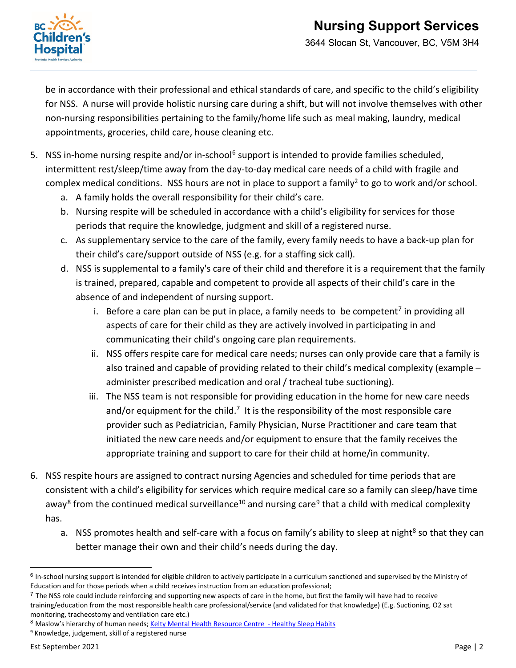

3644 Slocan St, Vancouver, BC, V5M 3H4

be in accordance with their professional and ethical standards of care, and specific to the child's eligibility for NSS. A nurse will provide holistic nursing care during a shift, but will not involve themselves with other non-nursing responsibilities pertaining to the family/home life such as meal making, laundry, medical appointments, groceries, child care, house cleaning etc.

- 5. NSS in-home nursing respite and/or in-school<sup>[6](#page-1-0)</sup> support is intended to provide families scheduled, intermittent rest/sleep/time away from the day-to-day medical care needs of a child with fragile and complex medical conditions. NSS hours are not in place to support a family<sup>2</sup> to go to work and/or school.
	- a. A family holds the overall responsibility for their child's care.
	- b. Nursing respite will be scheduled in accordance with a child's eligibility for services for those periods that require the knowledge, judgment and skill of a registered nurse.
	- c. As supplementary service to the care of the family, every family needs to have a back-up plan for their child's care/support outside of NSS (e.g. for a staffing sick call).
	- d. NSS is supplemental to a family's care of their child and therefore it is a requirement that the family is trained, prepared, capable and competent to provide all aspects of their child's care in the absence of and independent of nursing support.
		- i. Before a care plan can be put in place, a family needs to be competent<sup>[7](#page-1-1)</sup> in providing all aspects of care for their child as they are actively involved in participating in and communicating their child's ongoing care plan requirements.
		- ii. NSS offers respite care for medical care needs; nurses can only provide care that a family is also trained and capable of providing related to their child's medical complexity (example – administer prescribed medication and oral / tracheal tube suctioning).
		- iii. The NSS team is not responsible for providing education in the home for new care needs and/or equipment for the child.<sup>7</sup> It is the responsibility of the most responsible care provider such as Pediatrician, Family Physician, Nurse Practitioner and care team that initiated the new care needs and/or equipment to ensure that the family receives the appropriate training and support to care for their child at home/in community.
- 6. NSS respite hours are assigned to contract nursing Agencies and scheduled for time periods that are consistent with a child's eligibility for services which require medical care so a family can sleep/have time away<sup>[8](#page-1-2)</sup> from the continued medical surveillance<sup>10</sup> and nursing care<sup>9</sup> that a child with medical complexity has.
	- a. NSS promotes health and self-care with a focus on family's ability to sleep at night<sup>8</sup> so that they can better manage their own and their child's needs during the day.

<span id="page-1-2"></span>8 Maslow's hierarchy of human needs[; Kelty Mental Health Resource Centre -](https://keltymentalhealth.ca/healthy-sleep-habits) Healthy Sleep Habits

<span id="page-1-0"></span> $6$  In-school nursing support is intended for eligible children to actively participate in a curriculum sanctioned and supervised by the Ministry of Education and for those periods when a child receives instruction from an education professional;

<span id="page-1-1"></span> $7$  The NSS role could include reinforcing and supporting new aspects of care in the home, but first the family will have had to receive training/education from the most responsible health care professional/service (and validated for that knowledge) (E.g. Suctioning, O2 sat monitoring, tracheostomy and ventilation care etc.)

<span id="page-1-3"></span><sup>9</sup> Knowledge, judgement, skill of a registered nurse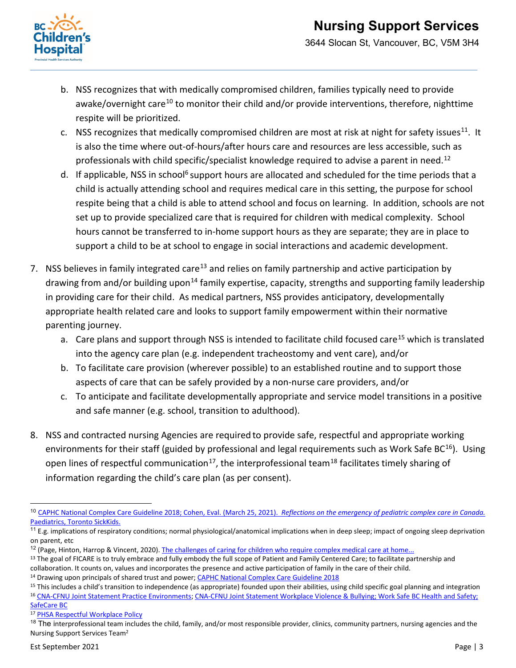

3644 Slocan St, Vancouver, BC, V5M 3H4

- b. NSS recognizes that with medically compromised children, families typically need to provide awake/overnight care<sup>[10](#page-2-0)</sup> to monitor their child and/or provide interventions, therefore, nighttime respite will be prioritized.
- c. NSS recognizes that medically compromised children are most at risk at night for safety issues<sup>[11](#page-2-1)</sup>. It is also the time where out-of-hours/after hours care and resources are less accessible, such as professionals with child specific/specialist knowledge required to advise a parent in need.<sup>[12](#page-2-2)</sup>
- d. If applicable, NSS in school<sup>6</sup> support hours are allocated and scheduled for the time periods that a child is actually attending school and requires medical care in this setting, the purpose for school respite being that a child is able to attend school and focus on learning. In addition, schools are not set up to provide specialized care that is required for children with medical complexity. School hours cannot be transferred to in-home support hours as they are separate; they are in place to support a child to be at school to engage in social interactions and academic development.
- 7. NSS believes in family integrated care<sup>[13](#page-2-3)</sup> and relies on family partnership and active participation by drawing from and/or building upon<sup>14</sup> family expertise, capacity, strengths and supporting family leadership in providing care for their child. As medical partners, NSS provides anticipatory, developmentally appropriate health related care and looks to support family empowerment within their normative parenting journey.
	- a. Care plans and support through NSS is intended to facilitate child focused care<sup>[15](#page-2-5)</sup> which is translated into the agency care plan (e.g. independent tracheostomy and vent care), and/or
	- b. To facilitate care provision (wherever possible) to an established routine and to support those aspects of care that can be safely provided by a non-nurse care providers, and/or
	- c. To anticipate and facilitate developmentally appropriate and service model transitions in a positive and safe manner (e.g. school, transition to adulthood).
- 8. NSS and contracted nursing Agencies are required to provide safe, respectful and appropriate working environments for their staff (guided by professional and legal requirements such as Work Safe BC<sup>16</sup>). Using open lines of respectful communication<sup>[17](#page-2-7)</sup>, the interprofessional team<sup>[18](#page-2-8)</sup> facilitates timely sharing of information regarding the child's care plan (as per consent).

<span id="page-2-0"></span> <sup>10</sup> [CAPHC National Complex Care Guideline 2018;](https://www.macpeds.com/documents/CAPHC%20National%20Complex%20Care%20Guideline%202018_final.pdf) Cohen, Eval. (March 25, 2021). *Reflections on the emergency of pediatric complex care in Canada.*  Paediatrics, Toronto SickKids.

<span id="page-2-1"></span><sup>&</sup>lt;sup>11</sup> E.g. implications of respiratory conditions; normal physiological/anatomical implications when in deep sleep; impact of ongoing sleep deprivation on parent, etc

<span id="page-2-2"></span> $12$  (Page, Hinton, Harrop & Vincent, 2020). [The challenges of caring for children who require complex medical care at home...](https://onlinelibrary.wiley.com/doi/epdf/10.1111/hex.13092)

<span id="page-2-3"></span><sup>&</sup>lt;sup>13</sup> The goal of FICARE is to truly embrace and fully embody the full scope of Patient and Family Centered Care; to facilitate partnership and collaboration. It counts on, values and incorporates the presence and active participation of family in the care of their child.<br><sup>14</sup> Drawing upon principals of shared trust and power; CAPHC National Complex Care Guideline

<span id="page-2-4"></span>

<span id="page-2-6"></span><span id="page-2-5"></span> $15$  This includes a child's transition to independence (as appropriate) founded upon their abilities, using child specific goal planning and integration <sup>16</sup> [CNA-CFNU Joint Statement Practice Environments;](https://www.cna-aiic.ca/%7E/media/cna/page-content/pdf-en/practice-environments-maximizing-outcomes-for-clients-nurses-and-organizations_joint-position-statement.pdf?la=en) [CNA-CFNU Joint Statement Workplace Violence & Bullying;](https://cna-aiic.ca/%7E/media/cna/page-content/pdf-en/Workplace-Violence-and-Bullying_joint-position-statement.pdf) [Work Safe BC Health and Safety;](https://www.worksafebc.com/en/health-safety)  [SafeCare BC](https://www.safecarebc.ca/)

<span id="page-2-7"></span><sup>17</sup> [PHSA Respectful Workplace Policy](http://shop.healthcarebc.ca/phsa/PHSAPOD/Human%20Resources/C-99-11-20204.pdf)

<span id="page-2-8"></span> $18$  The interprofessional team includes the child, family, and/or most responsible provider, clinics, community partners, nursing agencies and the Nursing Support Services Team2